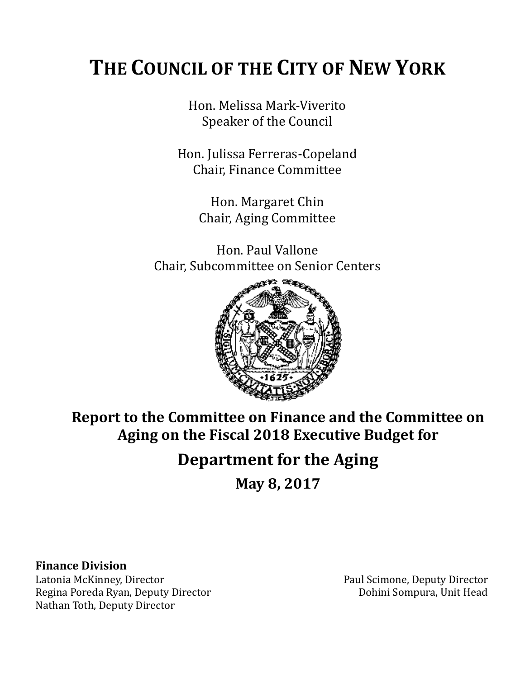# **THE COUNCIL OF THE CITY OF NEW YORK**

Hon. Melissa Mark-Viverito Speaker of the Council

Hon. Julissa Ferreras-Copeland Chair, Finance Committee

> Hon. Margaret Chin Chair, Aging Committee

Hon. Paul Vallone Chair, Subcommittee on Senior Centers



**Report to the Committee on Finance and the Committee on Aging on the Fiscal 2018 Executive Budget for** 

# **Department for the Aging**

**May 8, 2017**

# **Finance Division**

Latonia McKinney, Director **Paul Scimone, Deputy Director** Paul Scimone, Deputy Director Regina Poreda Ryan, Deputy Director **Domini Sompura**, Unit Head Nathan Toth, Deputy Director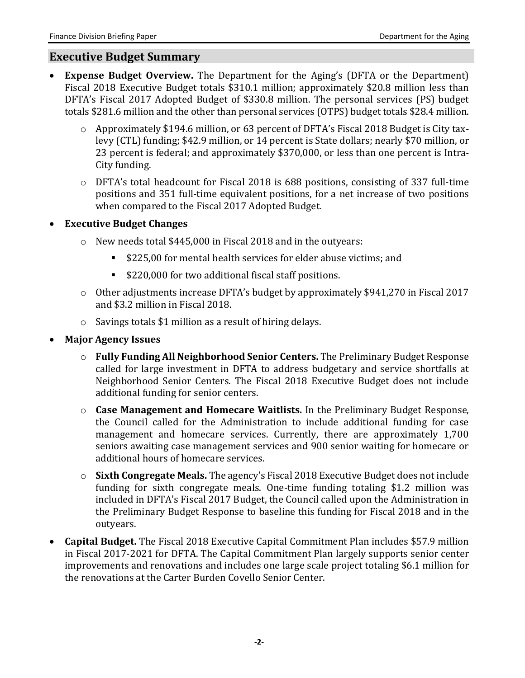#### **Executive Budget Summary**

- **Expense Budget Overview.** The Department for the Aging's (DFTA or the Department) Fiscal 2018 Executive Budget totals \$310.1 million; approximately \$20.8 million less than DFTA's Fiscal 2017 Adopted Budget of \$330.8 million. The personal services (PS) budget totals \$281.6 million and the other than personal services (OTPS) budget totals \$28.4 million.
	- o Approximately \$194.6 million, or 63 percent of DFTA's Fiscal 2018 Budget is City taxlevy (CTL) funding; \$42.9 million, or 14 percent is State dollars; nearly \$70 million, or 23 percent is federal; and approximately \$370,000, or less than one percent is Intra-City funding.
	- o DFTA's total headcount for Fiscal 2018 is 688 positions, consisting of 337 full-time positions and 351 full-time equivalent positions, for a net increase of two positions when compared to the Fiscal 2017 Adopted Budget.
- **Executive Budget Changes**
	- o New needs total \$445,000 in Fiscal 2018 and in the outyears:
		- \$225,00 for mental health services for elder abuse victims; and
		- \$220,000 for two additional fiscal staff positions.
	- o Other adjustments increase DFTA's budget by approximately \$941,270 in Fiscal 2017 and \$3.2 million in Fiscal 2018.
	- o Savings totals \$1 million as a result of hiring delays.
- **Major Agency Issues** 
	- o **Fully Funding All Neighborhood Senior Centers.** The Preliminary Budget Response called for large investment in DFTA to address budgetary and service shortfalls at Neighborhood Senior Centers. The Fiscal 2018 Executive Budget does not include additional funding for senior centers.
	- o **Case Management and Homecare Waitlists.** In the Preliminary Budget Response, the Council called for the Administration to include additional funding for case management and homecare services. Currently, there are approximately 1,700 seniors awaiting case management services and 900 senior waiting for homecare or additional hours of homecare services.
	- o **Sixth Congregate Meals.** The agency's Fiscal 2018 Executive Budget does not include funding for sixth congregate meals. One-time funding totaling \$1.2 million was included in DFTA's Fiscal 2017 Budget, the Council called upon the Administration in the Preliminary Budget Response to baseline this funding for Fiscal 2018 and in the outyears.
- **Capital Budget.** The Fiscal 2018 Executive Capital Commitment Plan includes \$57.9 million in Fiscal 2017-2021 for DFTA. The Capital Commitment Plan largely supports senior center improvements and renovations and includes one large scale project totaling \$6.1 million for the renovations at the Carter Burden Covello Senior Center.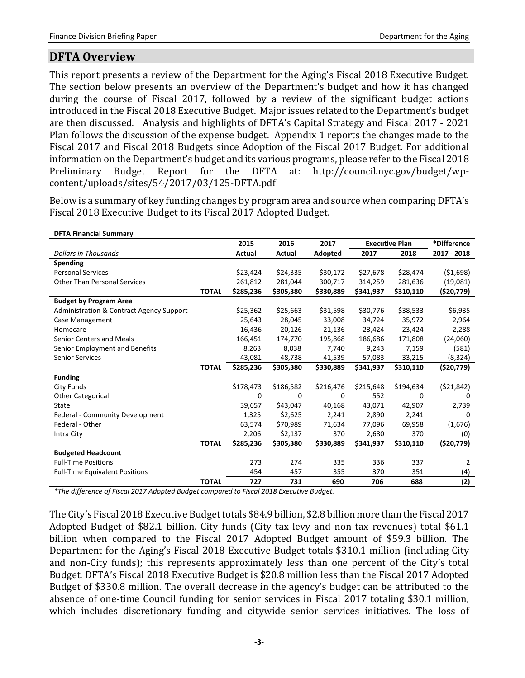# **DFTA Overview**

This report presents a review of the Department for the Aging's Fiscal 2018 Executive Budget. The section below presents an overview of the Department's budget and how it has changed during the course of Fiscal 2017, followed by a review of the significant budget actions introduced in the Fiscal 2018 Executive Budget. Major issues related to the Department's budget are then discussed. Analysis and highlights of DFTA's Capital Strategy and Fiscal 2017 - 2021 Plan follows the discussion of the expense budget. Appendix 1 reports the changes made to the Fiscal 2017 and Fiscal 2018 Budgets since Adoption of the Fiscal 2017 Budget. For additional information on the Department's budget and its various programs, please refer to the Fiscal 2018 Preliminary Budget Report for the DFTA at: http://council.nyc.gov/budget/wpcontent/uploads/sites/54/2017/03/125-DFTA.pdf

Below is a summary of key funding changes by program area and source when comparing DFTA's Fiscal 2018 Executive Budget to its Fiscal 2017 Adopted Budget.

| <b>DFTA Financial Summary</b>            |              |           |           |           |                       |           |             |
|------------------------------------------|--------------|-----------|-----------|-----------|-----------------------|-----------|-------------|
|                                          |              | 2015      | 2016      | 2017      | <b>Executive Plan</b> |           | *Difference |
| <b>Dollars in Thousands</b>              |              | Actual    | Actual    | Adopted   | 2017                  | 2018      | 2017 - 2018 |
| Spending                                 |              |           |           |           |                       |           |             |
| <b>Personal Services</b>                 |              | \$23,424  | \$24,335  | \$30,172  | \$27,678              | \$28,474  | (51,698)    |
| <b>Other Than Personal Services</b>      |              | 261,812   | 281,044   | 300,717   | 314,259               | 281,636   | (19,081)    |
|                                          | <b>TOTAL</b> | \$285,236 | \$305,380 | \$330,889 | \$341,937             | \$310,110 | (\$20,779)  |
| <b>Budget by Program Area</b>            |              |           |           |           |                       |           |             |
| Administration & Contract Agency Support |              | \$25,362  | \$25,663  | \$31,598  | \$30,776              | \$38,533  | \$6,935     |
| Case Management                          |              | 25,643    | 28,045    | 33,008    | 34,724                | 35,972    | 2,964       |
| Homecare                                 |              | 16,436    | 20,126    | 21,136    | 23,424                | 23,424    | 2,288       |
| Senior Centers and Meals                 |              | 166,451   | 174,770   | 195,868   | 186,686               | 171,808   | (24,060)    |
| Senior Employment and Benefits           |              | 8,263     | 8,038     | 7,740     | 9,243                 | 7,159     | (581)       |
| <b>Senior Services</b>                   |              | 43,081    | 48,738    | 41,539    | 57,083                | 33,215    | (8, 324)    |
|                                          | <b>TOTAL</b> | \$285,236 | \$305,380 | \$330,889 | \$341,937             | \$310,110 | ( \$20,779) |
| <b>Funding</b>                           |              |           |           |           |                       |           |             |
| City Funds                               |              | \$178,473 | \$186,582 | \$216,476 | \$215,648             | \$194,634 | (521, 842)  |
| <b>Other Categorical</b>                 |              | 0         | $\Omega$  | $\Omega$  | 552                   | $\Omega$  | 0           |
| State                                    |              | 39,657    | \$43,047  | 40,168    | 43,071                | 42,907    | 2,739       |
| Federal - Community Development          |              | 1,325     | \$2,625   | 2,241     | 2,890                 | 2,241     | 0           |
| Federal - Other                          |              | 63,574    | \$70,989  | 71,634    | 77,096                | 69,958    | (1,676)     |
| Intra City                               |              | 2,206     | \$2,137   | 370       | 2,680                 | 370       | (0)         |
|                                          | <b>TOTAL</b> | \$285,236 | \$305,380 | \$330,889 | \$341,937             | \$310,110 | ( \$20,779) |
| <b>Budgeted Headcount</b>                |              |           |           |           |                       |           |             |
| <b>Full-Time Positions</b>               |              | 273       | 274       | 335       | 336                   | 337       | 2           |
| <b>Full-Time Equivalent Positions</b>    |              | 454       | 457       | 355       | 370                   | 351       | (4)         |
|                                          | <b>TOTAL</b> | 727       | 731       | 690       | 706                   | 688       | (2)         |

*\*The difference of Fiscal 2017 Adopted Budget compared to Fiscal 2018 Executive Budget.*

The City's Fiscal 2018 Executive Budget totals \$84.9 billion, \$2.8 billion more than the Fiscal 2017 Adopted Budget of \$82.1 billion. City funds (City tax-levy and non-tax revenues) total \$61.1 billion when compared to the Fiscal 2017 Adopted Budget amount of \$59.3 billion. The Department for the Aging's Fiscal 2018 Executive Budget totals \$310.1 million (including City and non-City funds); this represents approximately less than one percent of the City's total Budget. DFTA's Fiscal 2018 Executive Budget is \$20.8 million less than the Fiscal 2017 Adopted Budget of \$330.8 million. The overall decrease in the agency's budget can be attributed to the absence of one-time Council funding for senior services in Fiscal 2017 totaling \$30.1 million, which includes discretionary funding and citywide senior services initiatives. The loss of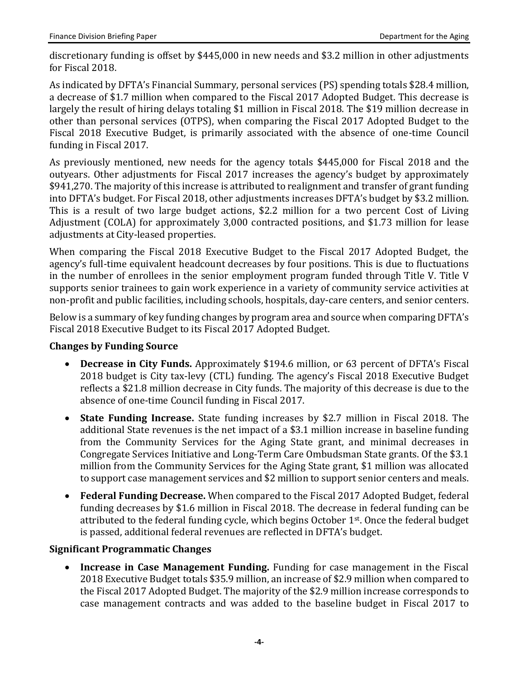discretionary funding is offset by \$445,000 in new needs and \$3.2 million in other adjustments for Fiscal 2018.

As indicated by DFTA's Financial Summary, personal services (PS) spending totals \$28.4 million, a decrease of \$1.7 million when compared to the Fiscal 2017 Adopted Budget. This decrease is largely the result of hiring delays totaling \$1 million in Fiscal 2018. The \$19 million decrease in other than personal services (OTPS), when comparing the Fiscal 2017 Adopted Budget to the Fiscal 2018 Executive Budget, is primarily associated with the absence of one-time Council funding in Fiscal 2017.

As previously mentioned, new needs for the agency totals \$445,000 for Fiscal 2018 and the outyears. Other adjustments for Fiscal 2017 increases the agency's budget by approximately \$941,270. The majority of this increase is attributed to realignment and transfer of grant funding into DFTA's budget. For Fiscal 2018, other adjustments increases DFTA's budget by \$3.2 million. This is a result of two large budget actions, \$2.2 million for a two percent Cost of Living Adjustment (COLA) for approximately 3,000 contracted positions, and \$1.73 million for lease adjustments at City-leased properties.

When comparing the Fiscal 2018 Executive Budget to the Fiscal 2017 Adopted Budget, the agency's full-time equivalent headcount decreases by four positions. This is due to fluctuations in the number of enrollees in the senior employment program funded through Title V. Title V supports senior trainees to gain work experience in a variety of community service activities at non-profit and public facilities, including schools, hospitals, day-care centers, and senior centers.

Below is a summary of key funding changes by program area and source when comparing DFTA's Fiscal 2018 Executive Budget to its Fiscal 2017 Adopted Budget.

#### **Changes by Funding Source**

- **Decrease in City Funds.** Approximately \$194.6 million, or 63 percent of DFTA's Fiscal 2018 budget is City tax-levy (CTL) funding. The agency's Fiscal 2018 Executive Budget reflects a \$21.8 million decrease in City funds. The majority of this decrease is due to the absence of one-time Council funding in Fiscal 2017.
- **State Funding Increase.** State funding increases by \$2.7 million in Fiscal 2018. The additional State revenues is the net impact of a \$3.1 million increase in baseline funding from the Community Services for the Aging State grant, and minimal decreases in Congregate Services Initiative and Long-Term Care Ombudsman State grants. Of the \$3.1 million from the Community Services for the Aging State grant, \$1 million was allocated to support case management services and \$2 million to support senior centers and meals.
- **Federal Funding Decrease.** When compared to the Fiscal 2017 Adopted Budget, federal funding decreases by \$1.6 million in Fiscal 2018. The decrease in federal funding can be attributed to the federal funding cycle, which begins October 1<sup>st</sup>. Once the federal budget is passed, additional federal revenues are reflected in DFTA's budget.

### **Significant Programmatic Changes**

 **Increase in Case Management Funding.** Funding for case management in the Fiscal 2018 Executive Budget totals \$35.9 million, an increase of \$2.9 million when compared to the Fiscal 2017 Adopted Budget. The majority of the \$2.9 million increase corresponds to case management contracts and was added to the baseline budget in Fiscal 2017 to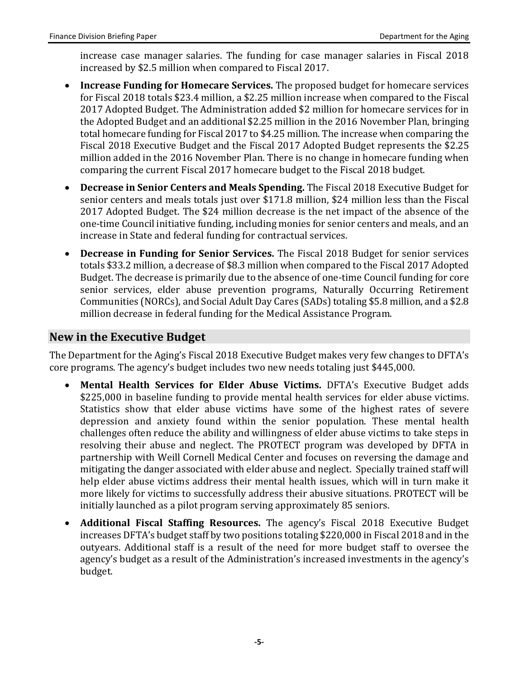increase case manager salaries. The funding for case manager salaries in Fiscal 2018 increased by \$2.5 million when compared to Fiscal 2017.

- **Increase Funding for Homecare Services.** The proposed budget for homecare services for Fiscal 2018 totals \$23.4 million, a \$2.25 million increase when compared to the Fiscal 2017 Adopted Budget. The Administration added \$2 million for homecare services for in the Adopted Budget and an additional \$2.25 million in the 2016 November Plan, bringing total homecare funding for Fiscal 2017 to \$4.25 million. The increase when comparing the Fiscal 2018 Executive Budget and the Fiscal 2017 Adopted Budget represents the \$2.25 million added in the 2016 November Plan. There is no change in homecare funding when comparing the current Fiscal 2017 homecare budget to the Fiscal 2018 budget.
- **Decrease in Senior Centers and Meals Spending.** The Fiscal 2018 Executive Budget for senior centers and meals totals just over \$171.8 million, \$24 million less than the Fiscal 2017 Adopted Budget. The \$24 million decrease is the net impact of the absence of the one-time Council initiative funding, including monies for senior centers and meals, and an increase in State and federal funding for contractual services.
- **Decrease in Funding for Senior Services.** The Fiscal 2018 Budget for senior services totals \$33.2 million, a decrease of \$8.3 million when compared to the Fiscal 2017 Adopted Budget. The decrease is primarily due to the absence of one-time Council funding for core senior services, elder abuse prevention programs, Naturally Occurring Retirement Communities (NORCs), and Social Adult Day Cares (SADs)totaling \$5.8 million, and a \$2.8 million decrease in federal funding for the Medical Assistance Program.

### **New in the Executive Budget**

The Department for the Aging's Fiscal 2018 Executive Budget makes very few changes to DFTA's core programs. The agency's budget includes two new needs totaling just \$445,000.

- **Mental Health Services for Elder Abuse Victims.** DFTA's Executive Budget adds \$225,000 in baseline funding to provide mental health services for elder abuse victims. Statistics show that elder abuse victims have some of the highest rates of severe depression and anxiety found within the senior population. These mental health challenges often reduce the ability and willingness of elder abuse victims to take steps in resolving their abuse and neglect. The PROTECT program was developed by DFTA in partnership with Weill Cornell Medical Center and focuses on reversing the damage and mitigating the danger associated with elder abuse and neglect. Specially trained staff will help elder abuse victims address their mental health issues, which will in turn make it more likely for victims to successfully address their abusive situations. PROTECT will be initially launched as a pilot program serving approximately 85 seniors.
- **Additional Fiscal Staffing Resources.** The agency's Fiscal 2018 Executive Budget increases DFTA's budget staff by two positions totaling \$220,000 in Fiscal 2018 and in the outyears. Additional staff is a result of the need for more budget staff to oversee the agency's budget as a result of the Administration's increased investments in the agency's budget.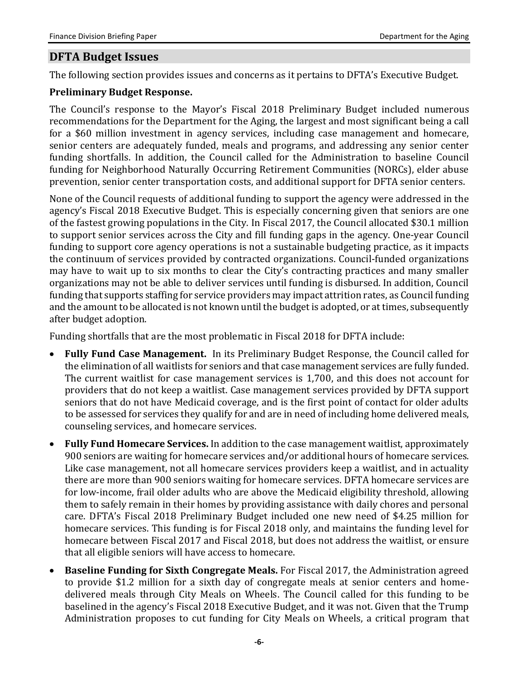# **DFTA Budget Issues**

The following section provides issues and concerns as it pertains to DFTA's Executive Budget.

#### **Preliminary Budget Response.**

The Council's response to the Mayor's Fiscal 2018 Preliminary Budget included numerous recommendations for the Department for the Aging, the largest and most significant being a call for a \$60 million investment in agency services, including case management and homecare, senior centers are adequately funded, meals and programs, and addressing any senior center funding shortfalls. In addition, the Council called for the Administration to baseline Council funding for Neighborhood Naturally Occurring Retirement Communities (NORCs), elder abuse prevention, senior center transportation costs, and additional support for DFTA senior centers.

None of the Council requests of additional funding to support the agency were addressed in the agency's Fiscal 2018 Executive Budget. This is especially concerning given that seniors are one of the fastest growing populations in the City. In Fiscal 2017, the Council allocated \$30.1 million to support senior services across the City and fill funding gaps in the agency. One-year Council funding to support core agency operations is not a sustainable budgeting practice, as it impacts the continuum of services provided by contracted organizations. Council-funded organizations may have to wait up to six months to clear the City's contracting practices and many smaller organizations may not be able to deliver services until funding is disbursed. In addition, Council funding that supports staffing for service providers may impact attrition rates, as Council funding and the amount to be allocated is not known until the budget is adopted, or at times, subsequently after budget adoption.

Funding shortfalls that are the most problematic in Fiscal 2018 for DFTA include:

- **Fully Fund Case Management.** In its Preliminary Budget Response, the Council called for the elimination of all waitlists for seniors and that case management services are fully funded. The current waitlist for case management services is 1,700, and this does not account for providers that do not keep a waitlist. Case management services provided by DFTA support seniors that do not have Medicaid coverage, and is the first point of contact for older adults to be assessed for services they qualify for and are in need of including home delivered meals, counseling services, and homecare services.
- **Fully Fund Homecare Services.** In addition to the case management waitlist, approximately 900 seniors are waiting for homecare services and/or additional hours of homecare services. Like case management, not all homecare services providers keep a waitlist, and in actuality there are more than 900 seniors waiting for homecare services. DFTA homecare services are for low-income, frail older adults who are above the Medicaid eligibility threshold, allowing them to safely remain in their homes by providing assistance with daily chores and personal care. DFTA's Fiscal 2018 Preliminary Budget included one new need of \$4.25 million for homecare services. This funding is for Fiscal 2018 only, and maintains the funding level for homecare between Fiscal 2017 and Fiscal 2018, but does not address the waitlist, or ensure that all eligible seniors will have access to homecare.
- **Baseline Funding for Sixth Congregate Meals.** For Fiscal 2017, the Administration agreed to provide \$1.2 million for a sixth day of congregate meals at senior centers and homedelivered meals through City Meals on Wheels. The Council called for this funding to be baselined in the agency's Fiscal 2018 Executive Budget, and it was not. Given that the Trump Administration proposes to cut funding for City Meals on Wheels, a critical program that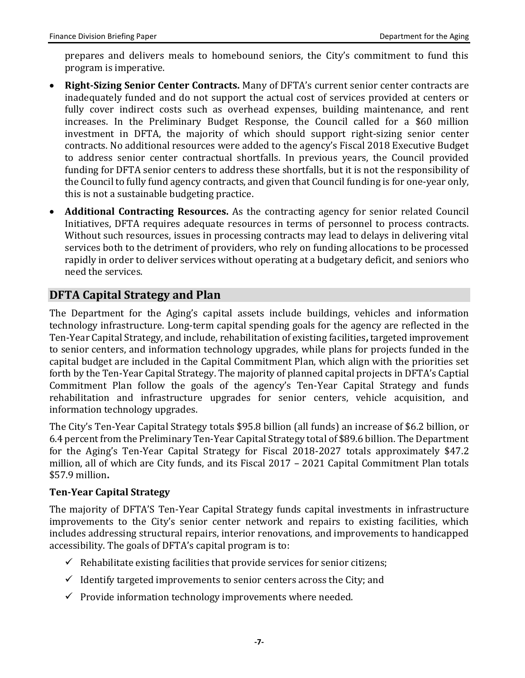prepares and delivers meals to homebound seniors, the City's commitment to fund this program is imperative.

- **Right-Sizing Senior Center Contracts.** Many of DFTA's current senior center contracts are inadequately funded and do not support the actual cost of services provided at centers or fully cover indirect costs such as overhead expenses, building maintenance, and rent increases. In the Preliminary Budget Response, the Council called for a \$60 million investment in DFTA, the majority of which should support right-sizing senior center contracts. No additional resources were added to the agency's Fiscal 2018 Executive Budget to address senior center contractual shortfalls. In previous years, the Council provided funding for DFTA senior centers to address these shortfalls, but it is not the responsibility of the Council to fully fund agency contracts, and given that Council funding is for one-year only, this is not a sustainable budgeting practice.
- **Additional Contracting Resources.** As the contracting agency for senior related Council Initiatives, DFTA requires adequate resources in terms of personnel to process contracts. Without such resources, issues in processing contracts may lead to delays in delivering vital services both to the detriment of providers, who rely on funding allocations to be processed rapidly in order to deliver services without operating at a budgetary deficit, and seniors who need the services.

# **DFTA Capital Strategy and Plan**

The Department for the Aging's capital assets include buildings, vehicles and information technology infrastructure. Long-term capital spending goals for the agency are reflected in the Ten-Year Capital Strategy, and include, rehabilitation of existing facilities**,** targeted improvement to senior centers, and information technology upgrades, while plans for projects funded in the capital budget are included in the Capital Commitment Plan, which align with the priorities set forth by the Ten-Year Capital Strategy. The majority of planned capital projects in DFTA's Captial Commitment Plan follow the goals of the agency's Ten-Year Capital Strategy and funds rehabilitation and infrastructure upgrades for senior centers, vehicle acquisition, and information technology upgrades.

The City's Ten-Year Capital Strategy totals \$95.8 billion (all funds) an increase of \$6.2 billion, or 6.4 percent from the Preliminary Ten-Year Capital Strategy total of \$89.6 billion. The Department for the Aging's Ten-Year Capital Strategy for Fiscal 2018-2027 totals approximately \$47.2 million, all of which are City funds, and its Fiscal 2017 – 2021 Capital Commitment Plan totals \$57.9 million**.** 

#### **Ten-Year Capital Strategy**

The majority of DFTA'S Ten-Year Capital Strategy funds capital investments in infrastructure improvements to the City's senior center network and repairs to existing facilities, which includes addressing structural repairs, interior renovations, and improvements to handicapped accessibility. The goals of DFTA's capital program is to:

- $\checkmark$  Rehabilitate existing facilities that provide services for senior citizens;
- $\checkmark$  Identify targeted improvements to senior centers across the City; and
- $\checkmark$  Provide information technology improvements where needed.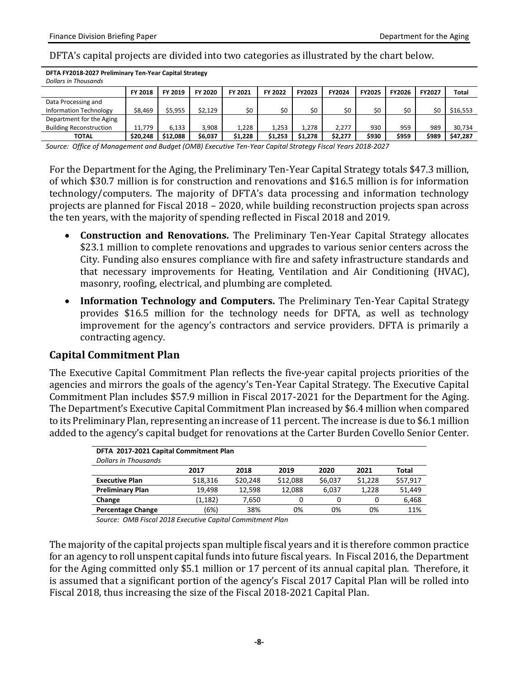**DFTA FY2018-2027 Preliminary Ten-Year Capital Strategy**

#### DFTA's capital projects are divided into two categories as illustrated by the chart below.

| <b>Dollars in Thousands</b>    |          |          | . .     |         |         |         |         |               |               |               |              |
|--------------------------------|----------|----------|---------|---------|---------|---------|---------|---------------|---------------|---------------|--------------|
|                                | FY 2018  | FY 2019  | FY 2020 | FY 2021 | FY 2022 | FY2023  | FY2024  | <b>FY2025</b> | <b>FY2026</b> | <b>FY2027</b> | <b>Total</b> |
| Data Processing and            |          |          |         |         |         |         |         |               |               |               |              |
| <b>Information Technology</b>  | \$8,469  | \$5,955  | \$2.129 | \$0     | \$0     | \$0     | \$0     | \$0           | \$0           | \$0           | \$16,553     |
| Department for the Aging       |          |          |         |         |         |         |         |               |               |               |              |
| <b>Building Reconstruction</b> | 11.779   | 6.133    | 3.908   | 1.228   | 1.253   | 1.278   | 2.277   | 930           | 959           | 989           | 30.734       |
| ΤΟΤΑL                          | \$20,248 | \$12,088 | \$6,037 | \$1,228 | \$1,253 | \$1,278 | \$2,277 | \$930         | \$959         | \$989         | \$47,287     |

*Source: Office of Management and Budget (OMB) Executive Ten-Year Capital Strategy Fiscal Years 2018-2027*

For the Department for the Aging, the Preliminary Ten-Year Capital Strategy totals \$47.3 million, of which \$30.7 million is for construction and renovations and \$16.5 million is for information technology/computers. The majority of DFTA's data processing and information technology projects are planned for Fiscal 2018 – 2020, while building reconstruction projects span across the ten years, with the majority of spending reflected in Fiscal 2018 and 2019.

- **Construction and Renovations.** The Preliminary Ten-Year Capital Strategy allocates \$23.1 million to complete renovations and upgrades to various senior centers across the City. Funding also ensures compliance with fire and safety infrastructure standards and that necessary improvements for Heating, Ventilation and Air Conditioning (HVAC), masonry, roofing, electrical, and plumbing are completed.
- **Information Technology and Computers.** The Preliminary Ten-Year Capital Strategy provides \$16.5 million for the technology needs for DFTA, as well as technology improvement for the agency's contractors and service providers. DFTA is primarily a contracting agency.

#### **Capital Commitment Plan**

The Executive Capital Commitment Plan reflects the five-year capital projects priorities of the agencies and mirrors the goals of the agency's Ten-Year Capital Strategy. The Executive Capital Commitment Plan includes \$57.9 million in Fiscal 2017-2021 for the Department for the Aging. The Department's Executive Capital Commitment Plan increased by \$6.4 million when compared to its Preliminary Plan, representing an increase of 11 percent. The increase is due to \$6.1 million added to the agency's capital budget for renovations at the Carter Burden Covello Senior Center.

| DFTA 2017-2021 Capital Commitment Plan |          |          |          |         |         |              |  |  |  |
|----------------------------------------|----------|----------|----------|---------|---------|--------------|--|--|--|
| <b>Dollars in Thousands</b>            |          |          |          |         |         |              |  |  |  |
|                                        | 2017     | 2018     | 2019     | 2020    | 2021    | <b>Total</b> |  |  |  |
| <b>Executive Plan</b>                  | \$18,316 | \$20,248 | \$12,088 | \$6,037 | \$1.228 | \$57,917     |  |  |  |
| <b>Preliminary Plan</b>                | 19.498   | 12.598   | 12.088   | 6.037   | 1.228   | 51,449       |  |  |  |
| Change                                 | (1,182)  | 7.650    |          |         | 0       | 6,468        |  |  |  |
| <b>Percentage Change</b>               | (6%)     | 38%      | 0%       | 0%      | 0%      | 11%          |  |  |  |

*Source: OMB Fiscal 2018 Executive Capital Commitment Plan*

The majority of the capital projects span multiple fiscal years and it is therefore common practice for an agency to roll unspent capital funds into future fiscal years. In Fiscal 2016, the Department for the Aging committed only \$5.1 million or 17 percent of its annual capital plan. Therefore, it is assumed that a significant portion of the agency's Fiscal 2017 Capital Plan will be rolled into Fiscal 2018, thus increasing the size of the Fiscal 2018-2021 Capital Plan.